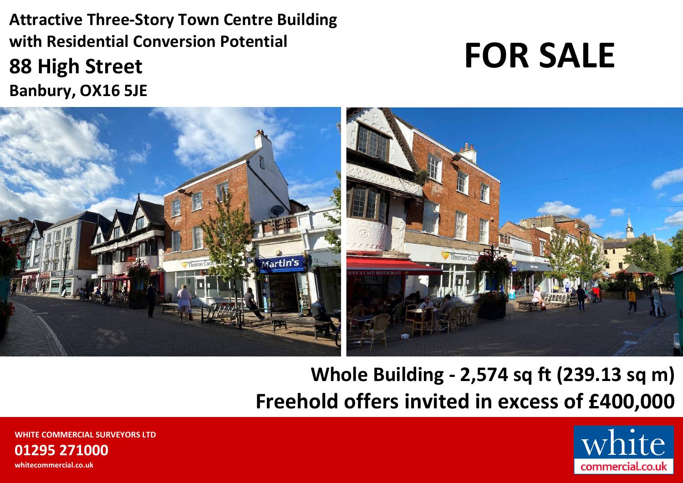**Attractive Three-Story Town Centre Building with Residential Conversion Potential 88 High Street Banbury, OX16 5JE**

# **FOR SALE**



**Whole Building - 2,574 sq ft (239.13 sq m) Freehold offers invited in excess of £400,000**

> $\mathbf{P}$ commercial.co.uk

**WHITE COMMERCIAL SURVEYORS LTD 01295 271000 whitecommercial.co.uk**